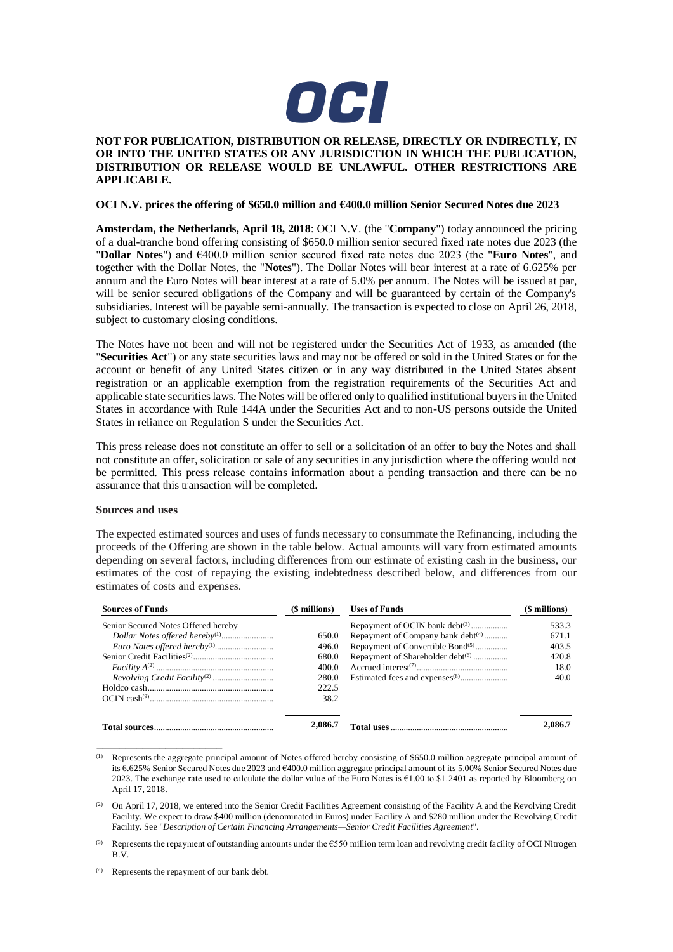

# **NOT FOR PUBLICATION, DISTRIBUTION OR RELEASE, DIRECTLY OR INDIRECTLY, IN OR INTO THE UNITED STATES OR ANY JURISDICTION IN WHICH THE PUBLICATION, DISTRIBUTION OR RELEASE WOULD BE UNLAWFUL. OTHER RESTRICTIONS ARE APPLICABLE.**

## **OCI N.V. prices the offering of \$650.0 million and €400.0 million Senior Secured Notes due 2023**

**Amsterdam, the Netherlands, April 18, 2018**: OCI N.V. (the "**Company**") today announced the pricing of a dual-tranche bond offering consisting of \$650.0 million senior secured fixed rate notes due 2023 (the "**Dollar Notes**") and €400.0 million senior secured fixed rate notes due 2023 (the "**Euro Notes**", and together with the Dollar Notes, the "**Notes**"). The Dollar Notes will bear interest at a rate of 6.625% per annum and the Euro Notes will bear interest at a rate of 5.0% per annum. The Notes will be issued at par, will be senior secured obligations of the Company and will be guaranteed by certain of the Company's subsidiaries. Interest will be payable semi-annually. The transaction is expected to close on April 26, 2018, subject to customary closing conditions.

The Notes have not been and will not be registered under the Securities Act of 1933, as amended (the "**Securities Act**") or any state securities laws and may not be offered or sold in the United States or for the account or benefit of any United States citizen or in any way distributed in the United States absent registration or an applicable exemption from the registration requirements of the Securities Act and applicable state securities laws. The Notes will be offered only to qualified institutional buyers in the United States in accordance with Rule 144A under the Securities Act and to non-US persons outside the United States in reliance on Regulation S under the Securities Act.

This press release does not constitute an offer to sell or a solicitation of an offer to buy the Notes and shall not constitute an offer, solicitation or sale of any securities in any jurisdiction where the offering would not be permitted. This press release contains information about a pending transaction and there can be no assurance that this transaction will be completed.

## **Sources and uses**

The expected estimated sources and uses of funds necessary to consummate the Refinancing, including the proceeds of the Offering are shown in the table below. Actual amounts will vary from estimated amounts depending on several factors, including differences from our estimate of existing cash in the business, our estimates of the cost of repaying the existing indebtedness described below, and differences from our estimates of costs and expenses.

| <b>Sources of Funds</b>             | (\$ millions) | <b>Uses of Funds</b>                          | (\$ millions) |
|-------------------------------------|---------------|-----------------------------------------------|---------------|
| Senior Secured Notes Offered hereby |               | Repayment of OCIN bank debt <sup>(3)</sup>    | 533.3         |
|                                     | 650.0         | Repayment of Company bank debt <sup>(4)</sup> | 671.1         |
|                                     | 496.0         | Repayment of Convertible Bond <sup>(5)</sup>  | 403.5         |
|                                     | 680.0         | Repayment of Shareholder debt <sup>(6)</sup>  | 420.8         |
|                                     | 400.0         |                                               | 18.0          |
|                                     | 280.0         |                                               | 40.0          |
|                                     | 222.5         |                                               |               |
|                                     | 38.2          |                                               |               |
|                                     | 2,086.7       |                                               | 2,086.7       |

<sup>(1)</sup> Represents the aggregate principal amount of Notes offered hereby consisting of \$650.0 million aggregate principal amount of its 6.625% Senior Secured Notes due 2023 and €400.0 million aggregate principal amount of its 5.00% Senior Secured Notes due 2023. The exchange rate used to calculate the dollar value of the Euro Notes is €1.00 to \$1.2401 as reported by Bloomberg on April 17, 2018.

\_\_\_\_\_\_\_\_\_\_\_\_\_\_\_\_\_\_\_\_\_\_

<sup>&</sup>lt;sup>(2)</sup> On April 17, 2018, we entered into the Senior Credit Facilities Agreement consisting of the Facility A and the Revolving Credit Facility. We expect to draw \$400 million (denominated in Euros) under Facility A and \$280 million under the Revolving Credit Facility. See "*Description of Certain Financing Arrangements—Senior Credit Facilities Agreement*".

<sup>(3)</sup> Represents the repayment of outstanding amounts under the  $\epsilon$ 550 million term loan and revolving credit facility of OCI Nitrogen B.V.

<sup>(4)</sup> Represents the repayment of our bank debt.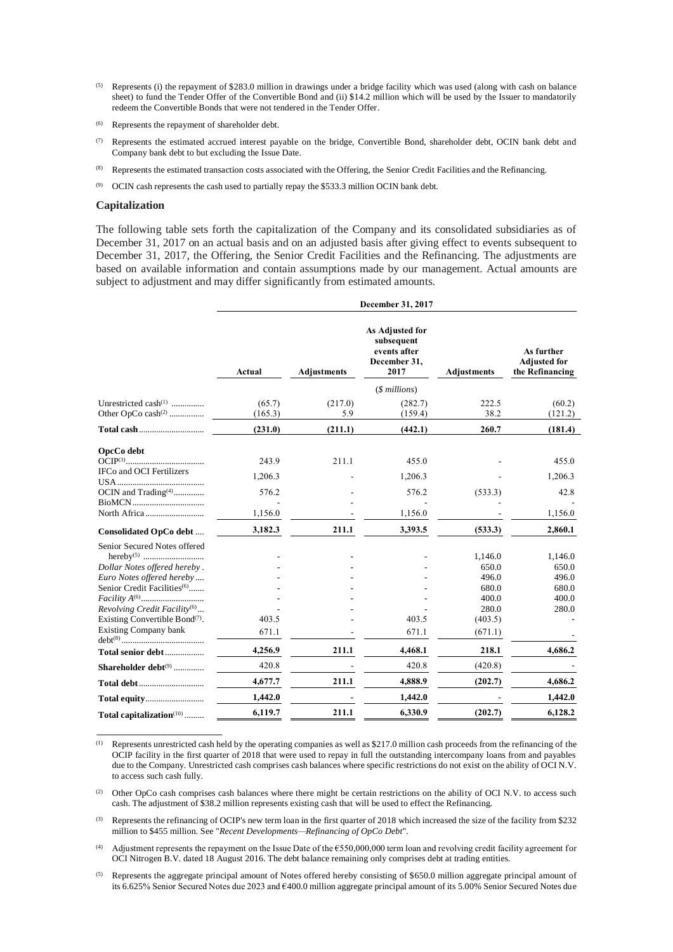- Represents (i) the repayment of \$283.0 million in drawings under a bridge facility which was used (along with cash on balance sheet) to fund the Tender Offer of the Convertible Bond and (ii) \$14.2 million which will be used by the Issuer to mandatorily redeem the Convertible Bonds that were not tendered in the Tender Offer.
- (6) Represents the repayment of shareholder debt.
- (7) Represents the estimated accrued interest payable on the bridge, Convertible Bond, shareholder debt, OCIN bank debt and Company bank debt to but excluding the Issue Date.
- (8) Represents the estimated transaction costs associated with the Offering, the Senior Credit Facilities and the Refinancing.
- (9) OCIN cash represents the cash used to partially repay the \$533.3 million OCIN bank debt.

#### **Capitalization**

\_\_\_\_\_\_\_\_\_\_\_\_\_\_\_\_\_\_\_\_\_\_

The following table sets forth the capitalization of the Company and its consolidated subsidiaries as of December 31, 2017 on an actual basis and on an adjusted basis after giving effect to events subsequent to December 31, 2017, the Offering, the Senior Credit Facilities and the Refinancing. The adjustments are based on available information and contain assumptions made by our management. Actual amounts are subject to adjustment and may differ significantly from estimated amounts.

|                                          | December 31, 2017 |                    |                                                                       |                    |                                                      |
|------------------------------------------|-------------------|--------------------|-----------------------------------------------------------------------|--------------------|------------------------------------------------------|
|                                          | Actual            | <b>Adjustments</b> | As Adjusted for<br>subsequent<br>events after<br>December 31,<br>2017 | <b>Adjustments</b> | As further<br><b>Adjusted for</b><br>the Refinancing |
|                                          |                   |                    | $($$ millions $)$                                                     |                    |                                                      |
| Unrestricted $cash^{(1)}$                | (65.7)<br>(165.3) | (217.0)<br>5.9     | (282.7)<br>(159.4)                                                    | 222.5<br>38.2      | (60.2)<br>(121.2)                                    |
|                                          | (231.0)           | (211.1)            | (442.1)                                                               | 260.7              | (181.4)                                              |
| OpcCo debt                               | 243.9             | 211.1              | 455.0                                                                 |                    | 455.0                                                |
| IFCo and OCI Fertilizers                 | 1,206.3           |                    | 1,206.3                                                               |                    | 1,206.3                                              |
| OCIN and Trading <sup>(4)</sup>          | 576.2             |                    | 576.2                                                                 | (533.3)            | 42.8                                                 |
| North Africa                             | 1,156.0           |                    | 1,156.0                                                               |                    | 1,156.0                                              |
| Consolidated OpCo debt                   | 3,182.3           | 211.1              | 3,393.5                                                               | (533.3)            | 2,860.1                                              |
| Senior Secured Notes offered             |                   |                    |                                                                       | 1,146.0            | 1,146.0                                              |
| Dollar Notes offered hereby.             |                   |                    |                                                                       | 650.0              | 650.0                                                |
| Euro Notes offered hereby                |                   |                    |                                                                       | 496.0              | 496.0                                                |
| Senior Credit Facilities <sup>(6)</sup>  |                   |                    |                                                                       | 680.0<br>400.0     | 680.0<br>400.0                                       |
| Revolving Credit Facility <sup>(6)</sup> |                   |                    |                                                                       | 280.0              | 280.0                                                |
| Existing Convertible Bond $(7)$ .        | 403.5             |                    | 403.5                                                                 | (403.5)            |                                                      |
| <b>Existing Company bank</b>             | 671.1             |                    | 671.1                                                                 | (671.1)            |                                                      |
| Total senior debt                        | 4,256.9           | 211.1              | 4,468.1                                                               | 218.1              | 4,686.2                                              |
| Shareholder debt <sup>(9)</sup>          | 420.8             |                    | 420.8                                                                 | (420.8)            |                                                      |
|                                          | 4,677.7           | 211.1              | 4,888.9                                                               | (202.7)            | 4,686.2                                              |
|                                          | 1,442.0           |                    | 1,442.0                                                               |                    | 1,442.0                                              |
| Total capitalization <sup>(10)</sup>     | 6,119.7           | 211.1              | 6,330.9                                                               | (202.7)            | 6,128.2                                              |

(1) Represents unrestricted cash held by the operating companies as well as \$217.0 million cash proceeds from the refinancing of the OCIP facility in the first quarter of 2018 that were used to repay in full the outstanding intercompany loans from and payables due to the Company. Unrestricted cash comprises cash balances where specific restrictions do not exist on the ability of OCI N.V. to access such cash fully.

(2) Other OpCo cash comprises cash balances where there might be certain restrictions on the ability of OCI N.V. to access such cash. The adjustment of \$38.2 million represents existing cash that will be used to effect the Refinancing.

(3) Represents the refinancing of OCIP's new term loan in the first quarter of 2018 which increased the size of the facility from \$232 million to \$455 million. See "*Recent Developments—Refinancing of OpCo Debt*".

Adjustment represents the repayment on the Issue Date of the  $£550,000,000$  term loan and revolving credit facility agreement for OCI Nitrogen B.V. dated 18 August 2016. The debt balance remaining only comprises debt at trading entities.

 $<sup>(5)</sup>$  Represents the aggregate principal amount of Notes offered hereby consisting of \$650.0 million aggregate principal amount of</sup> its 6.625% Senior Secured Notes due 2023 and €400.0 million aggregate principal amount of its 5.00% Senior Secured Notes due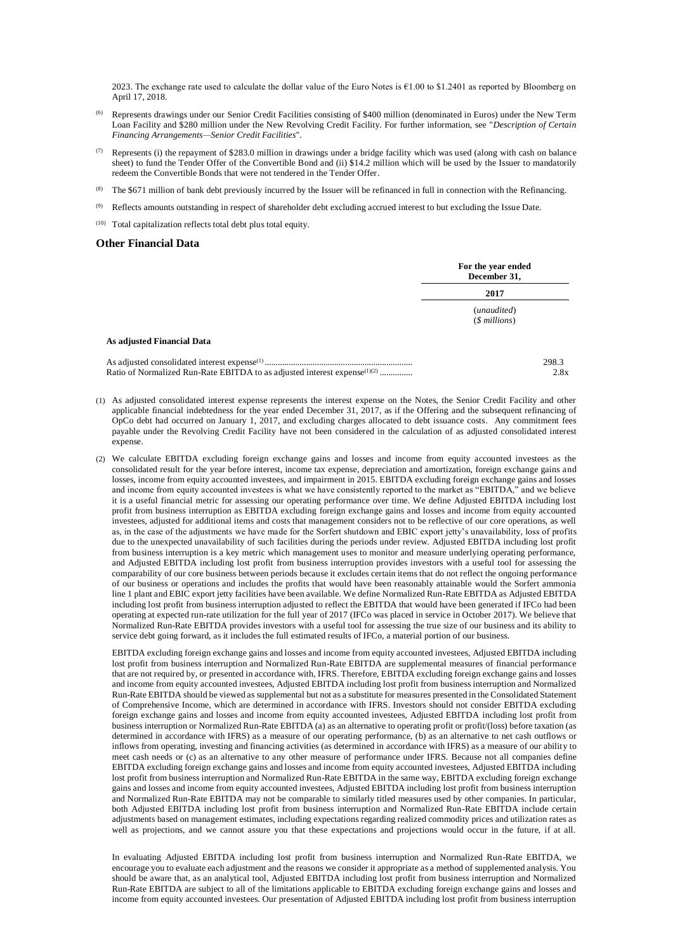2023. The exchange rate used to calculate the dollar value of the Euro Notes is €1.00 to \$1.2401 as reported by Bloomberg on April 17, 2018.

- (6) Represents drawings under our Senior Credit Facilities consisting of \$400 million (denominated in Euros) under the New Term Loan Facility and \$280 million under the New Revolving Credit Facility. For further information, see "*Description of Certain Financing Arrangements—Senior Credit Facilities*".
- (7) Represents (i) the repayment of \$283.0 million in drawings under a bridge facility which was used (along with cash on balance sheet) to fund the Tender Offer of the Convertible Bond and (ii) \$14.2 million which will be used by the Issuer to mandatorily redeem the Convertible Bonds that were not tendered in the Tender Offer.
- The \$671 million of bank debt previously incurred by the Issuer will be refinanced in full in connection with the Refinancing.
- $^{(9)}$  Reflects amounts outstanding in respect of shareholder debt excluding accrued interest to but excluding the Issue Date.
- (10) Total capitalization reflects total debt plus total equity.

#### **Other Financial Data**

|                                                                                       | For the year ended<br>December 31,<br>2017 |               |
|---------------------------------------------------------------------------------------|--------------------------------------------|---------------|
|                                                                                       |                                            |               |
|                                                                                       | (unaudited)<br>$($$ millions $)$           |               |
| As adjusted Financial Data                                                            |                                            |               |
| Ratio of Normalized Run-Rate EBITDA to as adjusted interest expense <sup>(1)(2)</sup> |                                            | 298.3<br>2.8x |

- (1) As adjusted consolidated interest expense represents the interest expense on the Notes, the Senior Credit Facility and other applicable financial indebtedness for the year ended December 31, 2017, as if the Offering and the subsequent refinancing of OpCo debt had occurred on January 1, 2017, and excluding charges allocated to debt issuance costs. Any commitment fees payable under the Revolving Credit Facility have not been considered in the calculation of as adjusted consolidated interest expense.
- (2) We calculate EBITDA excluding foreign exchange gains and losses and income from equity accounted investees as the consolidated result for the year before interest, income tax expense, depreciation and amortization, foreign exchange gains and losses, income from equity accounted investees, and impairment in 2015. EBITDA excluding foreign exchange gains and losses and income from equity accounted investees is what we have consistently reported to the market as "EBITDA," and we believe it is a useful financial metric for assessing our operating performance over time. We define Adjusted EBITDA including lost profit from business interruption as EBITDA excluding foreign exchange gains and losses and income from equity accounted investees, adjusted for additional items and costs that management considers not to be reflective of our core operations, as well as, in the case of the adjustments we have made for the Sorfert shutdown and EBIC export jetty's unavailability, loss of profits due to the unexpected unavailability of such facilities during the periods under review. Adjusted EBITDA including lost profit from business interruption is a key metric which management uses to monitor and measure underlying operating performance, and Adjusted EBITDA including lost profit from business interruption provides investors with a useful tool for assessing the comparability of our core business between periods because it excludes certain items that do not reflect the ongoing performance of our business or operations and includes the profits that would have been reasonably attainable would the Sorfert ammonia line 1 plant and EBIC export jetty facilities have been available. We define Normalized Run-Rate EBITDA as Adjusted EBITDA including lost profit from business interruption adjusted to reflect the EBITDA that would have been generated if IFCo had been operating at expected run-rate utilization for the full year of 2017 (IFCo was placed in service in October 2017). We believe that Normalized Run-Rate EBITDA provides investors with a useful tool for assessing the true size of our business and its ability to service debt going forward, as it includes the full estimated results of IFCo, a material portion of our business.

EBITDA excluding foreign exchange gains and losses and income from equity accounted investees, Adjusted EBITDA including lost profit from business interruption and Normalized Run-Rate EBITDA are supplemental measures of financial performance that are not required by, or presented in accordance with, IFRS. Therefore, EBITDA excluding foreign exchange gains and losses and income from equity accounted investees, Adjusted EBITDA including lost profit from business interruption and Normalized Run-Rate EBITDA should be viewed as supplemental but not as a substitute for measures presented in the Consolidated Statement of Comprehensive Income, which are determined in accordance with IFRS. Investors should not consider EBITDA excluding foreign exchange gains and losses and income from equity accounted investees, Adjusted EBITDA including lost profit from business interruption or Normalized Run-Rate EBITDA (a) as an alternative to operating profit or profit/(loss) before taxation (as determined in accordance with IFRS) as a measure of our operating performance, (b) as an alternative to net cash outflows or inflows from operating, investing and financing activities (as determined in accordance with IFRS) as a measure of our ability to meet cash needs or (c) as an alternative to any other measure of performance under IFRS. Because not all companies define EBITDA excluding foreign exchange gains and losses and income from equity accounted investees, Adjusted EBITDA including lost profit from business interruption and Normalized Run-Rate EBITDA in the same way, EBITDA excluding foreign exchange gains and losses and income from equity accounted investees, Adjusted EBITDA including lost profit from business interruption and Normalized Run-Rate EBITDA may not be comparable to similarly titled measures used by other companies. In particular, both Adjusted EBITDA including lost profit from business interruption and Normalized Run-Rate EBITDA include certain adjustments based on management estimates, including expectations regarding realized commodity prices and utilization rates as well as projections, and we cannot assure you that these expectations and projections would occur in the future, if at all.

In evaluating Adjusted EBITDA including lost profit from business interruption and Normalized Run-Rate EBITDA, we encourage you to evaluate each adjustment and the reasons we consider it appropriate as a method of supplemented analysis. You should be aware that, as an analytical tool, Adjusted EBITDA including lost profit from business interruption and Normalized Run-Rate EBITDA are subject to all of the limitations applicable to EBITDA excluding foreign exchange gains and losses and income from equity accounted investees. Our presentation of Adjusted EBITDA including lost profit from business interruption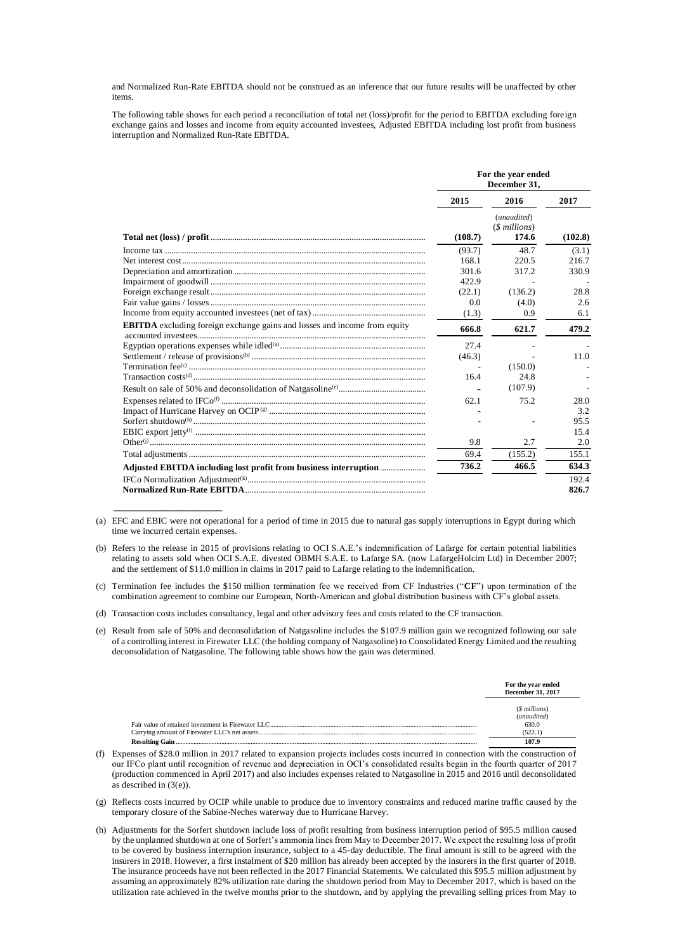and Normalized Run-Rate EBITDA should not be construed as an inference that our future results will be unaffected by other items.

The following table shows for each period a reconciliation of total net (loss)/profit for the period to EBITDA excluding foreign exchange gains and losses and income from equity accounted investees, Adjusted EBITDA including lost profit from business interruption and Normalized Run-Rate EBITDA.

|                                                                                  | For the year ended<br>December 31, |                                              |         |
|----------------------------------------------------------------------------------|------------------------------------|----------------------------------------------|---------|
|                                                                                  | 2015                               | 2016                                         | 2017    |
|                                                                                  | (108.7)                            | (unaudited)<br>( <i>Smillions</i> )<br>174.6 | (102.8) |
|                                                                                  | (93.7)                             | 48.7                                         | (3.1)   |
|                                                                                  | 168.1                              | 220.5                                        | 216.7   |
|                                                                                  | 301.6                              | 317.2                                        | 330.9   |
|                                                                                  | 422.9                              |                                              |         |
|                                                                                  | (22.1)                             | (136.2)                                      | 28.8    |
|                                                                                  | 0.0                                | (4.0)                                        | 2.6     |
|                                                                                  | (1.3)                              | 0.9                                          | 6.1     |
| <b>EBITDA</b> excluding foreign exchange gains and losses and income from equity | 666.8                              | 621.7                                        | 479.2   |
|                                                                                  | 27.4                               |                                              |         |
|                                                                                  | (46.3)                             |                                              | 11.0    |
|                                                                                  |                                    | (150.0)                                      |         |
|                                                                                  | 16.4                               | 24.8                                         |         |
|                                                                                  |                                    | (107.9)                                      |         |
|                                                                                  | 62.1                               | 75.2                                         | 28.0    |
|                                                                                  |                                    |                                              | 3.2     |
|                                                                                  |                                    |                                              | 95.5    |
|                                                                                  |                                    |                                              | 15.4    |
|                                                                                  | 9.8                                | 2.7                                          | 2.0     |
|                                                                                  | 69.4                               | (155.2)                                      | 155.1   |
|                                                                                  | 736.2                              | 466.5                                        | 634.3   |
|                                                                                  |                                    |                                              | 192.4   |
|                                                                                  |                                    |                                              | 826.7   |

(a) EFC and EBIC were not operational for a period of time in 2015 due to natural gas supply interruptions in Egypt during which time we incurred certain expenses.

(b) Refers to the release in 2015 of provisions relating to OCI S.A.E.'s indemnification of Lafarge for certain potential liabilities relating to assets sold when OCI S.A.E. divested OBMH S.A.E. to Lafarge SA. (now LafargeHolcim Ltd) in December 2007; and the settlement of \$11.0 million in claims in 2017 paid to Lafarge relating to the indemnification.

(c) Termination fee includes the \$150 million termination fee we received from CF Industries ("**CF**") upon termination of the combination agreement to combine our European, North-American and global distribution business with CF's global assets.

(d) Transaction costs includes consultancy, legal and other advisory fees and costs related to the CF transaction.

\_\_\_\_\_\_\_\_\_\_\_\_\_\_\_\_\_\_\_

(e) Result from sale of 50% and deconsolidation of Natgasoline includes the \$107.9 million gain we recognized following our sale of a controlling interest in Firewater LLC (the holding company of Natgasoline) to Consolidated Energy Limited and the resulting deconsolidation of Natgasoline. The following table shows how the gain was determined.

|                       | For the year ended<br><b>December 31, 2017</b> |
|-----------------------|------------------------------------------------|
|                       | (\$ millions)<br>(unaudited)                   |
|                       | 630.0                                          |
| <b>Resulting Gain</b> |                                                |

(f) Expenses of \$28.0 million in 2017 related to expansion projects includes costs incurred in connection with the construction of our IFCo plant until recognition of revenue and depreciation in OCI's consolidated results began in the fourth quarter of 2017 (production commenced in April 2017) and also includes expenses related to Natgasoline in 2015 and 2016 until deconsolidated as described in  $(3(e))$ .

(g) Reflects costs incurred by OCIP while unable to produce due to inventory constraints and reduced marine traffic caused by the temporary closure of the Sabine-Neches waterway due to Hurricane Harvey.

(h) Adjustments for the Sorfert shutdown include loss of profit resulting from business interruption period of \$95.5 million caused by the unplanned shutdown at one of Sorfert's ammonia lines from May to December 2017. We expect the resulting loss of profit to be covered by business interruption insurance, subject to a 45-day deductible. The final amount is still to be agreed with the insurers in 2018. However, a first instalment of \$20 million has already been accepted by the insurers in the first quarter of 2018. The insurance proceeds have not been reflected in the 2017 Financial Statements. We calculated this \$95.5 million adjustment by assuming an approximately 82% utilization rate during the shutdown period from May to December 2017, which is based on the utilization rate achieved in the twelve months prior to the shutdown, and by applying the prevailing selling prices from May to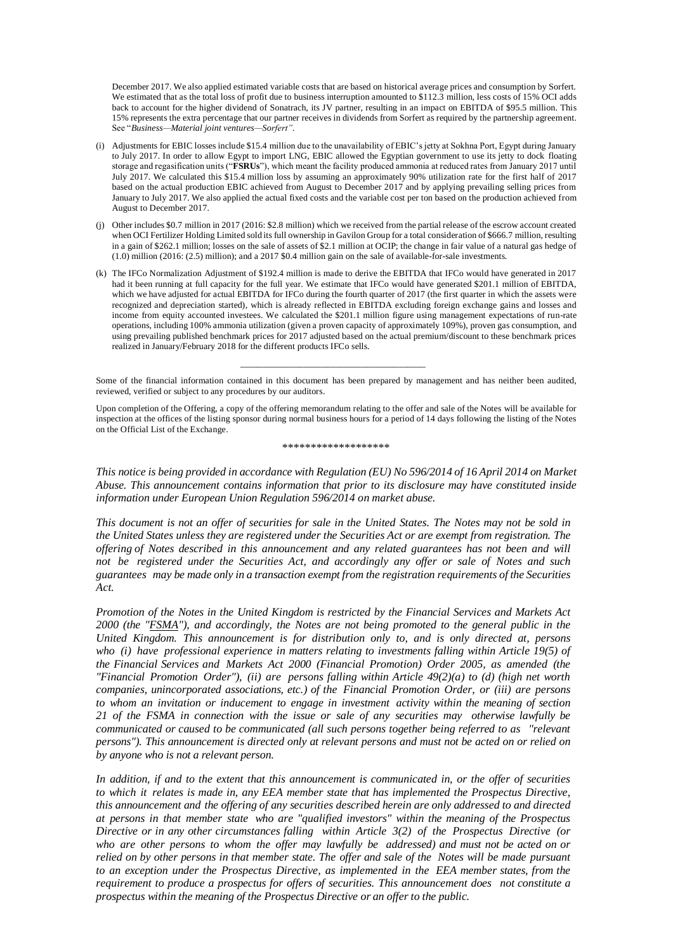December 2017. We also applied estimated variable costs that are based on historical average prices and consumption by Sorfert. We estimated that as the total loss of profit due to business interruption amounted to \$112.3 million, less costs of 15% OCI adds back to account for the higher dividend of Sonatrach, its JV partner, resulting in an impact on EBITDA of \$95.5 million. This 15% represents the extra percentage that our partner receives in dividends from Sorfert as required by the partnership agreement. See "*Business—Material joint ventures—Sorfert"*.

- (i) Adjustments for EBIC losses include \$15.4 million due to the unavailability of EBIC's jetty at Sokhna Port, Egypt during January to July 2017. In order to allow Egypt to import LNG, EBIC allowed the Egyptian government to use its jetty to dock floating storage and regasification units ("**FSRUs**"), which meant the facility produced ammonia at reduced rates from January 2017 until July 2017. We calculated this \$15.4 million loss by assuming an approximately 90% utilization rate for the first half of 2017 based on the actual production EBIC achieved from August to December 2017 and by applying prevailing selling prices from January to July 2017. We also applied the actual fixed costs and the variable cost per ton based on the production achieved from August to December 2017.
- (j) Other includes \$0.7 million in 2017 (2016: \$2.8 million) which we received from the partial release of the escrow account created when OCI Fertilizer Holding Limited sold its full ownership in Gavilon Group for a total consideration of \$666.7 million, resulting in a gain of \$262.1 million; losses on the sale of assets of \$2.1 million at OCIP; the change in fair value of a natural gas hedge of (1.0) million (2016: (2.5) million); and a 2017 \$0.4 million gain on the sale of available-for-sale investments.
- (k) The IFCo Normalization Adjustment of \$192.4 million is made to derive the EBITDA that IFCo would have generated in 2017 had it been running at full capacity for the full year. We estimate that IFCo would have generated \$201.1 million of EBITDA, which we have adjusted for actual EBITDA for IFCo during the fourth quarter of 2017 (the first quarter in which the assets were recognized and depreciation started), which is already reflected in EBITDA excluding foreign exchange gains and losses and income from equity accounted investees. We calculated the \$201.1 million figure using management expectations of run-rate operations, including 100% ammonia utilization (given a proven capacity of approximately 109%), proven gas consumption, and using prevailing published benchmark prices for 2017 adjusted based on the actual premium/discount to these benchmark prices realized in January/February 2018 for the different products IFCo sells.

Some of the financial information contained in this document has been prepared by management and has neither been audited, reviewed, verified or subject to any procedures by our auditors.

\_\_\_\_\_\_\_\_\_\_\_\_\_\_\_\_\_\_\_\_\_\_\_\_\_\_\_\_\_\_\_\_\_\_\_\_\_\_\_\_\_

Upon completion of the Offering, a copy of the offering memorandum relating to the offer and sale of the Notes will be available for inspection at the offices of the listing sponsor during normal business hours for a period of 14 days following the listing of the Notes on the Official List of the Exchange.

\*\*\*\*\*\*\*\*\*\*\*\*\*\*\*\*\*\*\*

*This notice is being provided in accordance with Regulation (EU) No 596/2014 of 16 April 2014 on Market Abuse. This announcement contains information that prior to its disclosure may have constituted inside information under European Union Regulation 596/2014 on market abuse.*

This document is not an offer of securities for sale in the United States. The Notes may not be sold in *the United States unless they are registered under the Securities Act or are exempt from registration. The offering of Notes described in this announcement and any related guarantees has not been and will not be registered under the Securities Act, and accordingly any offer or sale of Notes and such guarantees may be made only in a transaction exempt from the registration requirements of the Securities Act.*

*Promotion of the Notes in the United Kingdom is restricted by the Financial Services and Markets Act 2000 (the "FSMA"), and accordingly, the Notes are not being promoted to the general public in the United Kingdom. This announcement is for distribution only to, and is only directed at, persons who (i) have professional experience in matters relating to investments falling within Article 19(5) of the Financial Services and Markets Act 2000 (Financial Promotion) Order 2005, as amended (the "Financial Promotion Order"), (ii) are persons falling within Article 49(2)(a) to (d) (high net worth companies, unincorporated associations, etc.) of the Financial Promotion Order, or (iii) are persons to whom an invitation or inducement to engage in investment activity within the meaning of section 21 of the FSMA in connection with the issue or sale of any securities may otherwise lawfully be communicated or caused to be communicated (all such persons together being referred to as "relevant persons"). This announcement is directed only at relevant persons and must not be acted on or relied on by anyone who is not a relevant person.*

In addition, if and to the extent that this announcement is communicated in, or the offer of securities *to which it relates is made in, any EEA member state that has implemented the Prospectus Directive, this announcement and the offering of any securities described herein are only addressed to and directed at persons in that member state who are "qualified investors" within the meaning of the Prospectus Directive or in any other circumstances falling within Article 3(2) of the Prospectus Directive (or* who are other persons to whom the offer may lawfully be addressed) and must not be acted on or relied on by other persons in that member state. The offer and sale of the Notes will be made pursuant *to an exception under the Prospectus Directive, as implemented in the EEA member states, from the requirement to produce a prospectus for offers of securities. This announcement does not constitute a prospectus within the meaning of the Prospectus Directive or an offer to the public.*